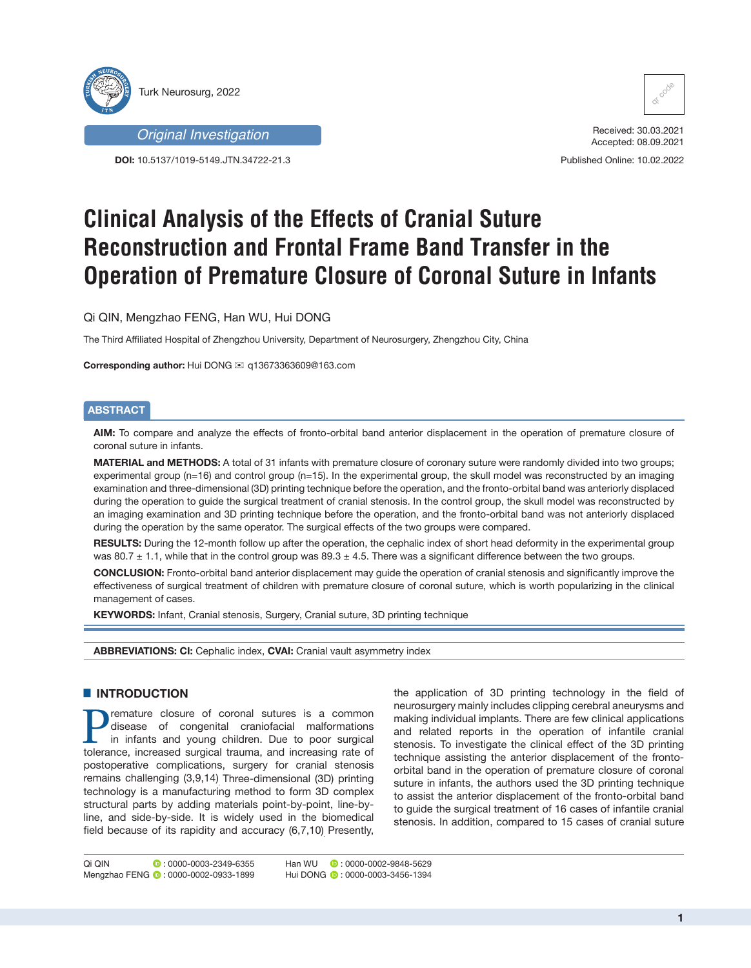



**DOI:** 10.5137/1019-5149.JTN.34722-21.3



Received: 30.03.2021 Accepted: 08.09.2021

Published Online: 10.02.2022

# **Clinical Analysis of the Effects of Cranial Suture Reconstruction and Frontal Frame Band Transfer in the Operation of Premature Closure of Coronal Suture in Infants**

Qi QIN, Mengzhao FENG, Han WU, Hui DONG

The Third Affiliated Hospital of Zhengzhou University, Department of Neurosurgery, Zhengzhou City, China

**Corresponding author:** Hui DONG ≤ q13673363609@163.com

# **ABSTRACT**

**AIM:** To compare and analyze the effects of fronto-orbital band anterior displacement in the operation of premature closure of coronal suture in infants.

**MATERIAL and METHODS:** A total of 31 infants with premature closure of coronary suture were randomly divided into two groups; experimental group (n=16) and control group (n=15). In the experimental group, the skull model was reconstructed by an imaging examination and three-dimensional (3D) printing technique before the operation, and the fronto-orbital band was anteriorly displaced during the operation to guide the surgical treatment of cranial stenosis. In the control group, the skull model was reconstructed by an imaging examination and 3D printing technique before the operation, and the fronto-orbital band was not anteriorly displaced during the operation by the same operator. The surgical effects of the two groups were compared.

**RESULTS:** During the 12-month follow up after the operation, the cephalic index of short head deformity in the experimental group was 80.7  $\pm$  1.1, while that in the control group was 89.3  $\pm$  4.5. There was a significant difference between the two groups.

**CONCLUSION:** Fronto-orbital band anterior displacement may guide the operation of cranial stenosis and significantly improve the effectiveness of surgical treatment of children with premature closure of coronal suture, which is worth popularizing in the clinical management of cases.

**KEYWORDS:** Infant, Cranial stenosis, Surgery, Cranial suture, 3D printing technique

**ABBREVIATIONS: CI:** Cephalic index, **CVAI:** Cranial vault asymmetry index

# █ **INTRODUCTION**

**Premature closure of coronal sutures is a common disease of congenital craniofacial malformations**<br>in infants and young children. Due to poor surgical<br>tolerance increased surgical trauma and increasing rate of disease of congenital craniofacial malformations tolerance, increased surgical trauma, and increasing rate of postoperative complications, surgery for cranial stenosis remains challenging (3,9,14) Three-dimensional (3D) printing technology is a manufacturing method to form 3D complex structural parts by adding materials point-by-point, line-byline, and side-by-side. It is widely used in the biomedical field because of its rapidity and accuracy (6,7,10) Presently,

the application of 3D printing technology in the field of neurosurgery mainly includes clipping cerebral aneurysms and making individual implants. There are few clinical applications and related reports in the operation of infantile cranial stenosis. To investigate the clinical effect of the 3D printing technique assisting the anterior displacement of the frontoorbital band in the operation of premature closure of coronal suture in infants, the authors used the 3D printing technique to assist the anterior displacement of the fronto-orbital band to guide the surgical treatment of 16 cases of infantile cranial stenosis. In addition, compared to 15 cases of cranial suture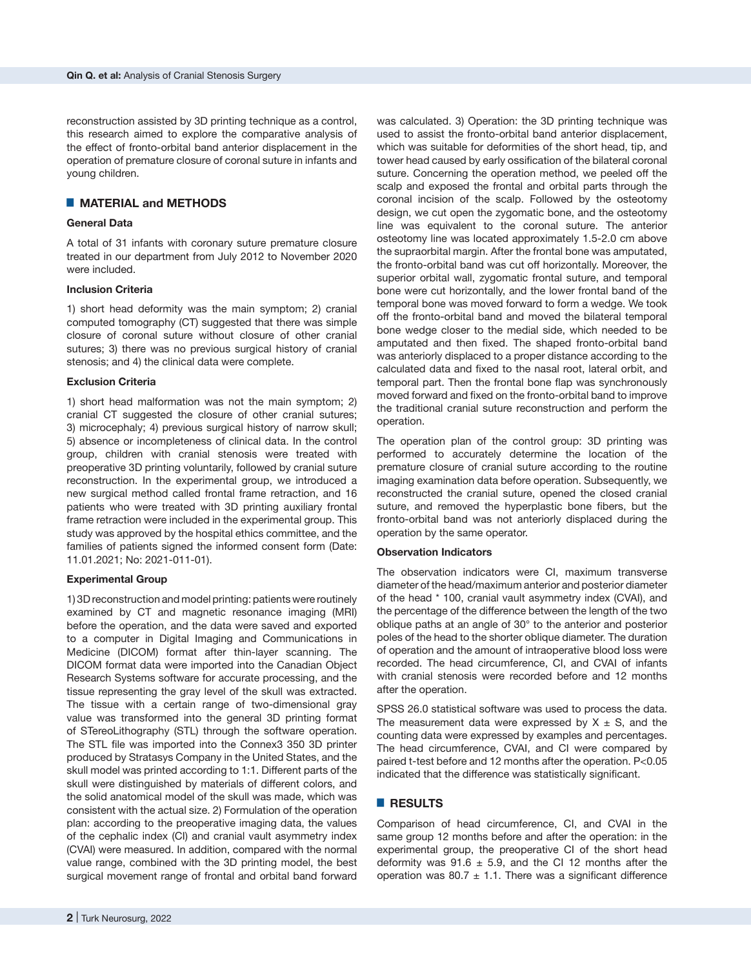reconstruction assisted by 3D printing technique as a control, this research aimed to explore the comparative analysis of the effect of fronto-orbital band anterior displacement in the operation of premature closure of coronal suture in infants and young children.

## █ **MATERIAL and METHODS**

## **General Data**

A total of 31 infants with coronary suture premature closure treated in our department from July 2012 to November 2020 were included.

#### **Inclusion Criteria**

1) short head deformity was the main symptom; 2) cranial computed tomography (CT) suggested that there was simple closure of coronal suture without closure of other cranial sutures; 3) there was no previous surgical history of cranial stenosis; and 4) the clinical data were complete.

#### **Exclusion Criteria**

1) short head malformation was not the main symptom; 2) cranial CT suggested the closure of other cranial sutures; 3) microcephaly; 4) previous surgical history of narrow skull; 5) absence or incompleteness of clinical data. In the control group, children with cranial stenosis were treated with preoperative 3D printing voluntarily, followed by cranial suture reconstruction. In the experimental group, we introduced a new surgical method called frontal frame retraction, and 16 patients who were treated with 3D printing auxiliary frontal frame retraction were included in the experimental group. This study was approved by the hospital ethics committee, and the families of patients signed the informed consent form (Date: 11.01.2021; No: 2021-011-01).

#### **Experimental Group**

1) 3D reconstruction and model printing: patients were routinely examined by CT and magnetic resonance imaging (MRI) before the operation, and the data were saved and exported to a computer in Digital Imaging and Communications in Medicine (DICOM) format after thin-layer scanning. The DICOM format data were imported into the Canadian Object Research Systems software for accurate processing, and the tissue representing the gray level of the skull was extracted. The tissue with a certain range of two-dimensional gray value was transformed into the general 3D printing format of STereoLithography (STL) through the software operation. The STL file was imported into the Connex3 350 3D printer produced by Stratasys Company in the United States, and the skull model was printed according to 1:1. Different parts of the skull were distinguished by materials of different colors, and the solid anatomical model of the skull was made, which was consistent with the actual size. 2) Formulation of the operation plan: according to the preoperative imaging data, the values of the cephalic index (CI) and cranial vault asymmetry index (CVAI) were measured. In addition, compared with the normal value range, combined with the 3D printing model, the best surgical movement range of frontal and orbital band forward

was calculated. 3) Operation: the 3D printing technique was used to assist the fronto-orbital band anterior displacement, which was suitable for deformities of the short head, tip, and tower head caused by early ossification of the bilateral coronal suture. Concerning the operation method, we peeled off the scalp and exposed the frontal and orbital parts through the coronal incision of the scalp. Followed by the osteotomy design, we cut open the zygomatic bone, and the osteotomy line was equivalent to the coronal suture. The anterior osteotomy line was located approximately 1.5-2.0 cm above the supraorbital margin. After the frontal bone was amputated, the fronto-orbital band was cut off horizontally. Moreover, the superior orbital wall, zygomatic frontal suture, and temporal bone were cut horizontally, and the lower frontal band of the temporal bone was moved forward to form a wedge. We took off the fronto-orbital band and moved the bilateral temporal bone wedge closer to the medial side, which needed to be amputated and then fixed. The shaped fronto-orbital band was anteriorly displaced to a proper distance according to the calculated data and fixed to the nasal root, lateral orbit, and temporal part. Then the frontal bone flap was synchronously moved forward and fixed on the fronto-orbital band to improve the traditional cranial suture reconstruction and perform the operation.

The operation plan of the control group: 3D printing was performed to accurately determine the location of the premature closure of cranial suture according to the routine imaging examination data before operation. Subsequently, we reconstructed the cranial suture, opened the closed cranial suture, and removed the hyperplastic bone fibers, but the fronto-orbital band was not anteriorly displaced during the operation by the same operator.

#### **Observation Indicators**

The observation indicators were CI, maximum transverse diameter of the head/maximum anterior and posterior diameter of the head \* 100, cranial vault asymmetry index (CVAI), and the percentage of the difference between the length of the two oblique paths at an angle of 30° to the anterior and posterior poles of the head to the shorter oblique diameter. The duration of operation and the amount of intraoperative blood loss were recorded. The head circumference, CI, and CVAI of infants with cranial stenosis were recorded before and 12 months after the operation.

SPSS 26.0 statistical software was used to process the data. The measurement data were expressed by  $X \pm S$ , and the counting data were expressed by examples and percentages. The head circumference, CVAI, and CI were compared by paired t-test before and 12 months after the operation. P<0.05 indicated that the difference was statistically significant.

### █ **RESULTS**

Comparison of head circumference, CI, and CVAI in the same group 12 months before and after the operation: in the experimental group, the preoperative CI of the short head deformity was  $91.6 \pm 5.9$ , and the CI 12 months after the operation was 80.7  $\pm$  1.1. There was a significant difference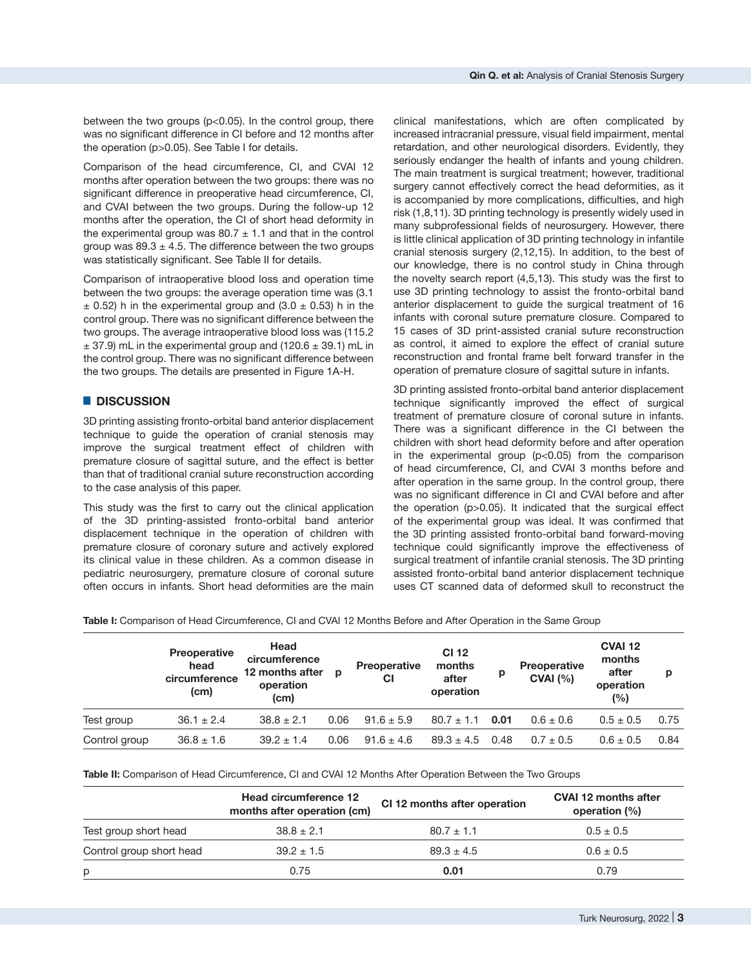between the two groups (p<0.05). In the control group, there was no significant difference in CI before and 12 months after the operation (p>0.05). See Table I for details.

Comparison of the head circumference, CI, and CVAI 12 months after operation between the two groups: there was no significant difference in preoperative head circumference, CI, and CVAI between the two groups. During the follow-up 12 months after the operation, the CI of short head deformity in the experimental group was 80.7  $\pm$  1.1 and that in the control group was  $89.3 \pm 4.5$ . The difference between the two groups was statistically significant. See Table II for details.

Comparison of intraoperative blood loss and operation time between the two groups: the average operation time was (3.1  $\pm$  0.52) h in the experimental group and (3.0  $\pm$  0.53) h in the control group. There was no significant difference between the two groups. The average intraoperative blood loss was (115.2  $\pm$  37.9) mL in the experimental group and (120.6  $\pm$  39.1) mL in the control group. There was no significant difference between the two groups. The details are presented in Figure 1A-H.

## █ **DISCUSSION**

3D printing assisting fronto-orbital band anterior displacement technique to guide the operation of cranial stenosis may improve the surgical treatment effect of children with premature closure of sagittal suture, and the effect is better than that of traditional cranial suture reconstruction according to the case analysis of this paper.

This study was the first to carry out the clinical application of the 3D printing-assisted fronto-orbital band anterior displacement technique in the operation of children with premature closure of coronary suture and actively explored its clinical value in these children. As a common disease in pediatric neurosurgery, premature closure of coronal suture often occurs in infants. Short head deformities are the main

clinical manifestations, which are often complicated by increased intracranial pressure, visual field impairment, mental retardation, and other neurological disorders. Evidently, they seriously endanger the health of infants and young children. The main treatment is surgical treatment; however, traditional surgery cannot effectively correct the head deformities, as it is accompanied by more complications, difficulties, and high risk (1,8,11). 3D printing technology is presently widely used in many subprofessional fields of neurosurgery. However, there is little clinical application of 3D printing technology in infantile cranial stenosis surgery (2,12,15). In addition, to the best of our knowledge, there is no control study in China through the novelty search report (4,5,13). This study was the first to use 3D printing technology to assist the fronto-orbital band anterior displacement to guide the surgical treatment of 16 infants with coronal suture premature closure. Compared to 15 cases of 3D print-assisted cranial suture reconstruction as control, it aimed to explore the effect of cranial suture reconstruction and frontal frame belt forward transfer in the operation of premature closure of sagittal suture in infants.

3D printing assisted fronto-orbital band anterior displacement technique significantly improved the effect of surgical treatment of premature closure of coronal suture in infants. There was a significant difference in the CI between the children with short head deformity before and after operation in the experimental group  $(p<0.05)$  from the comparison of head circumference, CI, and CVAI 3 months before and after operation in the same group. In the control group, there was no significant difference in CI and CVAI before and after the operation (p>0.05). It indicated that the surgical effect of the experimental group was ideal. It was confirmed that the 3D printing assisted fronto-orbital band forward-moving technique could significantly improve the effectiveness of surgical treatment of infantile cranial stenosis. The 3D printing assisted fronto-orbital band anterior displacement technique uses CT scanned data of deformed skull to reconstruct the

**Table I:** Comparison of Head Circumference, CI and CVAI 12 Months Before and After Operation in the Same Group

|               | <b>Preoperative</b><br>head<br>circumference<br>(cm) | Head<br>circumference<br>12 months after<br>operation<br>(c <sub>m</sub> ) | p    | <b>Preoperative</b><br>СI | <b>CI 12</b><br>months<br>after<br>operation | р    | <b>Preoperative</b><br>CVAI (%) | <b>CVAI 12</b><br>months<br>after<br>operation<br>(%) | p    |
|---------------|------------------------------------------------------|----------------------------------------------------------------------------|------|---------------------------|----------------------------------------------|------|---------------------------------|-------------------------------------------------------|------|
| Test group    | $36.1 \pm 2.4$                                       | $38.8 \pm 2.1$                                                             | 0.06 | $91.6 \pm 5.9$            | $80.7 \pm 1.1$                               | 0.01 | $0.6 \pm 0.6$                   | $0.5 \pm 0.5$                                         | 0.75 |
| Control group | $36.8 \pm 1.6$                                       | $39.2 \pm 1.4$                                                             | 0.06 | $91.6 \pm 4.6$            | $89.3 \pm 4.5$                               | 0.48 | $0.7 \pm 0.5$                   | $0.6 \pm 0.5$                                         | 0.84 |

**Table II:** Comparison of Head Circumference, CI and CVAI 12 Months After Operation Between the Two Groups

|                          | Head circumference 12<br>months after operation (cm) | CI 12 months after operation | <b>CVAI 12 months after</b><br>operation (%) |
|--------------------------|------------------------------------------------------|------------------------------|----------------------------------------------|
| Test group short head    | $38.8 \pm 2.1$                                       | $80.7 \pm 1.1$               | $0.5 \pm 0.5$                                |
| Control group short head | $39.2 \pm 1.5$                                       | $89.3 \pm 4.5$               | $0.6 \pm 0.5$                                |
| р                        | 0.75                                                 | 0.01                         | 0.79                                         |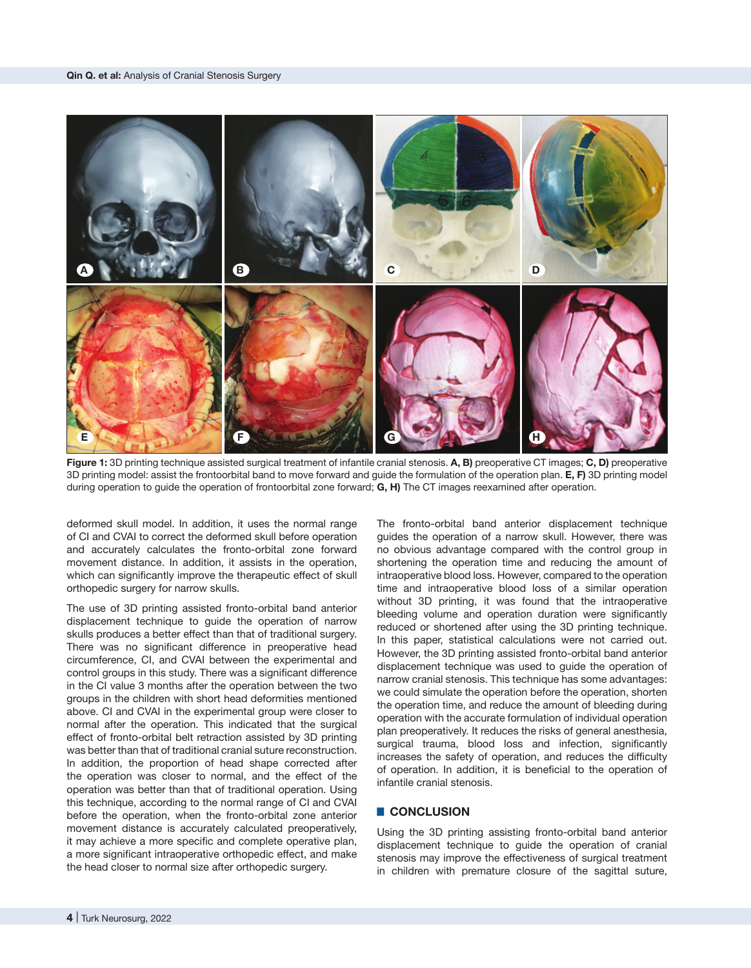

**Figure 1:** 3D printing technique assisted surgical treatment of infantile cranial stenosis. **A, B)** preoperative CT images; **C, D)** preoperative 3D printing model: assist the frontoorbital band to move forward and guide the formulation of the operation plan. **E, F)** 3D printing model during operation to guide the operation of frontoorbital zone forward; **G, H)** The CT images reexamined after operation.

deformed skull model. In addition, it uses the normal range of CI and CVAI to correct the deformed skull before operation and accurately calculates the fronto-orbital zone forward movement distance. In addition, it assists in the operation, which can significantly improve the therapeutic effect of skull orthopedic surgery for narrow skulls.

The use of 3D printing assisted fronto-orbital band anterior displacement technique to guide the operation of narrow skulls produces a better effect than that of traditional surgery. There was no significant difference in preoperative head circumference, CI, and CVAI between the experimental and control groups in this study. There was a significant difference in the CI value 3 months after the operation between the two groups in the children with short head deformities mentioned above. CI and CVAI in the experimental group were closer to normal after the operation. This indicated that the surgical effect of fronto-orbital belt retraction assisted by 3D printing was better than that of traditional cranial suture reconstruction. In addition, the proportion of head shape corrected after the operation was closer to normal, and the effect of the operation was better than that of traditional operation. Using this technique, according to the normal range of CI and CVAI before the operation, when the fronto-orbital zone anterior movement distance is accurately calculated preoperatively, it may achieve a more specific and complete operative plan, a more significant intraoperative orthopedic effect, and make the head closer to normal size after orthopedic surgery.

The fronto-orbital band anterior displacement technique guides the operation of a narrow skull. However, there was no obvious advantage compared with the control group in shortening the operation time and reducing the amount of intraoperative blood loss. However, compared to the operation time and intraoperative blood loss of a similar operation without 3D printing, it was found that the intraoperative bleeding volume and operation duration were significantly reduced or shortened after using the 3D printing technique. In this paper, statistical calculations were not carried out. However, the 3D printing assisted fronto-orbital band anterior displacement technique was used to guide the operation of narrow cranial stenosis. This technique has some advantages: we could simulate the operation before the operation, shorten the operation time, and reduce the amount of bleeding during operation with the accurate formulation of individual operation plan preoperatively. It reduces the risks of general anesthesia, surgical trauma, blood loss and infection, significantly increases the safety of operation, and reduces the difficulty of operation. In addition, it is beneficial to the operation of infantile cranial stenosis.

## █ **CONCLUSION**

Using the 3D printing assisting fronto-orbital band anterior displacement technique to guide the operation of cranial stenosis may improve the effectiveness of surgical treatment in children with premature closure of the sagittal suture,